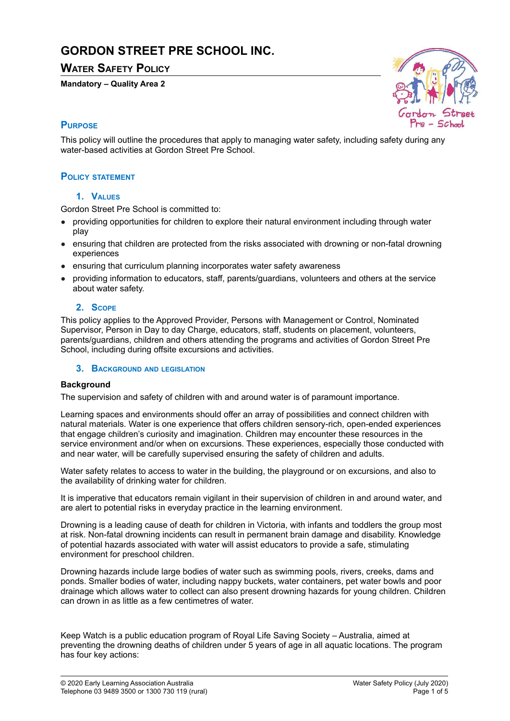# **GORDON STREET PRE SCHOOL INC.**

# **WATER SAFETY POLICY**

#### **Mandatory – Quality Area 2**



# **PURPOSE**

This policy will outline the procedures that apply to managing water safety, including safety during any water-based activities at Gordon Street Pre School.

# **POLICY STATEMENT**

# **1. VALUES**

Gordon Street Pre School is committed to:

- providing opportunities for children to explore their natural environment including through water play
- ensuring that children are protected from the risks associated with drowning or non-fatal drowning experiences
- ensuring that curriculum planning incorporates water safety awareness
- providing information to educators, staff, parents/guardians, volunteers and others at the service about water safety.

# **2. SCOPE**

This policy applies to the Approved Provider, Persons with Management or Control, Nominated Supervisor, Person in Day to day Charge, educators, staff, students on placement, volunteers, parents/guardians, children and others attending the programs and activities of Gordon Street Pre School, including during offsite excursions and activities.

#### **3. BACKGROUND AND LEGISLATION**

#### **Background**

The supervision and safety of children with and around water is of paramount importance.

Learning spaces and environments should offer an array of possibilities and connect children with natural materials. Water is one experience that offers children sensory-rich, open-ended experiences that engage children's curiosity and imagination. Children may encounter these resources in the service environment and/or when on excursions. These experiences, especially those conducted with and near water, will be carefully supervised ensuring the safety of children and adults.

Water safety relates to access to water in the building, the playground or on excursions, and also to the availability of drinking water for children.

It is imperative that educators remain vigilant in their supervision of children in and around water, and are alert to potential risks in everyday practice in the learning environment.

Drowning is a leading cause of death for children in Victoria, with infants and toddlers the group most at risk. Non-fatal drowning incidents can result in permanent brain damage and disability. Knowledge of potential hazards associated with water will assist educators to provide a safe, stimulating environment for preschool children.

Drowning hazards include large bodies of water such as swimming pools, rivers, creeks, dams and ponds. Smaller bodies of water, including nappy buckets, water containers, pet water bowls and poor drainage which allows water to collect can also present drowning hazards for young children. Children can drown in as little as a few centimetres of water.

Keep Watch is a public education program of Royal Life Saving Society – Australia, aimed at preventing the drowning deaths of children under 5 years of age in all aquatic locations. The program has four key actions: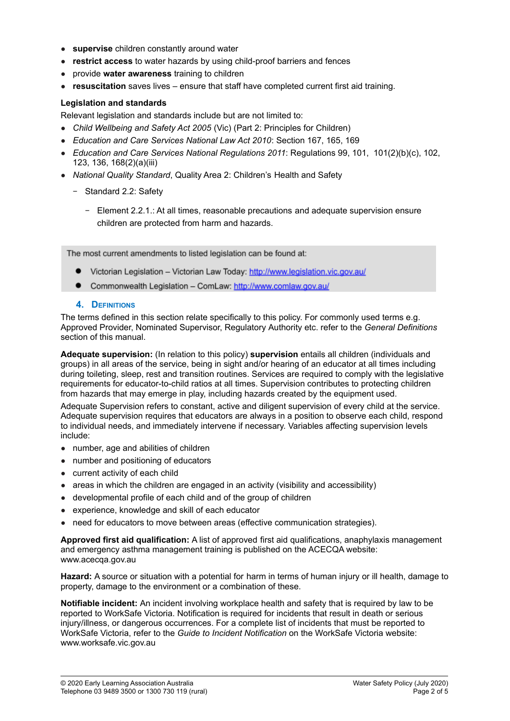- **supervise** children constantly around water
- **restrict access** to water hazards by using child-proof barriers and fences
- provide **water awareness** training to children
- **resuscitation** saves lives ensure that staff have completed current first aid training.

#### **Legislation and standards**

Relevant legislation and standards include but are not limited to:

- *Child Wellbeing and Safety Act 2005* (Vic) (Part 2: Principles for Children)
- *Education and Care Services National Law Act 2010*: Section 167, 165, 169
- *Education and Care Services National Regulations 2011*: Regulations 99, 101, 101(2)(b)(c), 102, 123, 136, 168(2)(a)(iii)
- *National Quality Standard*, Quality Area 2: Children's Health and Safety
	- − Standard 2.2: Safety
		- − Element 2.2.1.: At all times, reasonable precautions and adequate supervision ensure children are protected from harm and hazards.

The most current amendments to listed legislation can be found at:

- Victorian Legislation Victorian Law Today: http://www.legislation.vic.gov.au/
- $\bullet$ Commonwealth Legislation - ComLaw: http://www.comlaw.gov.au/

#### **4. DEFINITIONS**

The terms defined in this section relate specifically to this policy. For commonly used terms e.g. Approved Provider, Nominated Supervisor, Regulatory Authority etc. refer to the *General Definitions* section of this manual.

**Adequate supervision:** (In relation to this policy) **supervision** entails all children (individuals and groups) in all areas of the service, being in sight and/or hearing of an educator at all times including during toileting, sleep, rest and transition routines. Services are required to comply with the legislative requirements for educator-to-child ratios at all times. Supervision contributes to protecting children from hazards that may emerge in play, including hazards created by the equipment used.

Adequate Supervision refers to constant, active and diligent supervision of every child at the service. Adequate supervision requires that educators are always in a position to observe each child, respond to individual needs, and immediately intervene if necessary. Variables affecting supervision levels include:

- number, age and abilities of children
- number and positioning of educators
- current activity of each child
- areas in which the children are engaged in an activity (visibility and accessibility)
- developmental profile of each child and of the group of children
- experience, knowledge and skill of each educator
- need for educators to move between areas (effective communication strategies).

**Approved first aid qualification:** A list of approved first aid qualifications, anaphylaxis management and emergency asthma management training is published on the ACECQA website: www.acecqa.gov.au

**Hazard:** A source or situation with a potential for harm in terms of human injury or ill health, damage to property, damage to the environment or a combination of these.

**Notifiable incident:** An incident involving workplace health and safety that is required by law to be reported to WorkSafe Victoria. Notification is required for incidents that result in death or serious injury/illness, or dangerous occurrences. For a complete list of incidents that must be reported to WorkSafe Victoria, refer to the *Guide to Incident Notification* on the WorkSafe Victoria website: www.worksafe.vic.gov.au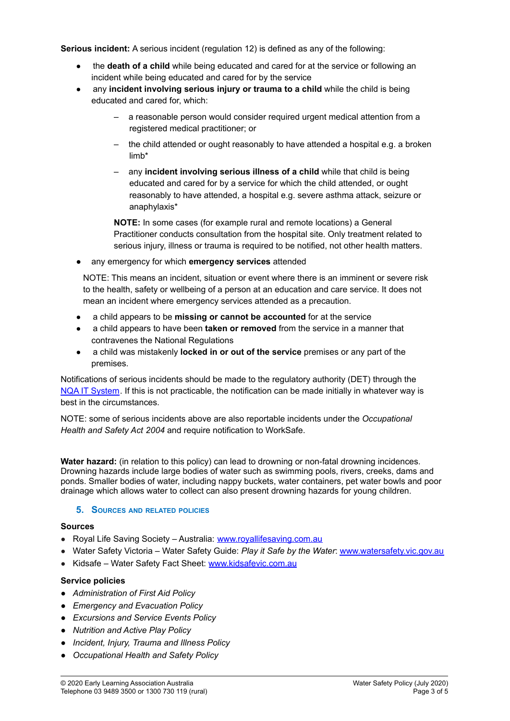**Serious incident:** A serious incident (regulation 12) is defined as any of the following:

- the **death of a child** while being educated and cared for at the service or following an incident while being educated and cared for by the service
- any **incident involving serious injury or trauma to a child** while the child is being educated and cared for, which:
	- a reasonable person would consider required urgent medical attention from a registered medical practitioner; or
	- the child attended or ought reasonably to have attended a hospital e.g. a broken limb\*
	- any **incident involving serious illness of a child** while that child is being educated and cared for by a service for which the child attended, or ought reasonably to have attended, a hospital e.g. severe asthma attack, seizure or anaphylaxis\*

**NOTE:** In some cases (for example rural and remote locations) a General Practitioner conducts consultation from the hospital site. Only treatment related to serious injury, illness or trauma is required to be notified, not other health matters.

● any emergency for which **emergency services** attended

NOTE: This means an incident, situation or event where there is an imminent or severe risk to the health, safety or wellbeing of a person at an education and care service. It does not mean an incident where emergency services attended as a precaution.

- a child appears to be **missing or cannot be accounted** for at the service
- a child appears to have been **taken or removed** from the service in a manner that contravenes the National Regulations
- a child was mistakenly **locked in or out of the service** premises or any part of the premises.

Notifications of serious incidents should be made to the regulatory authority (DET) through the NQA IT [System](https://www.acecqa.gov.au/resources/national-quality-agenda-it-system). If this is not practicable, the notification can be made initially in whatever way is best in the circumstances.

NOTE: some of serious incidents above are also reportable incidents under the *Occupational Health and Safety Act 2004* and require notification to WorkSafe.

**Water hazard:** (in relation to this policy) can lead to drowning or non-fatal drowning incidences. Drowning hazards include large bodies of water such as swimming pools, rivers, creeks, dams and ponds. Smaller bodies of water, including nappy buckets, water containers, pet water bowls and poor drainage which allows water to collect can also present drowning hazards for young children.

# **5. SOURCES AND RELATED POLICIES**

#### **Sources**

- Royal Life Saving Society Australia: [www.royallifesaving.com.au](http://www.royallifesaving.com.au)
- Water Safety Victoria Water Safety Guide: *Play it Safe by the Water*: [www.watersafety.vic.gov.au](http://www.watersafety.vic.gov.au)
- Kidsafe Water Safety Fact Sheet: [www.kidsafevic.com.au](http://www.kidsafevic.com.au)

# **Service policies**

- *● Administration of First Aid Policy*
- *● Emergency and Evacuation Policy*
- *● Excursions and Service Events Policy*
- *● Nutrition and Active Play Policy*
- *● Incident, Injury, Trauma and Illness Policy*
- *● Occupational Health and Safety Policy*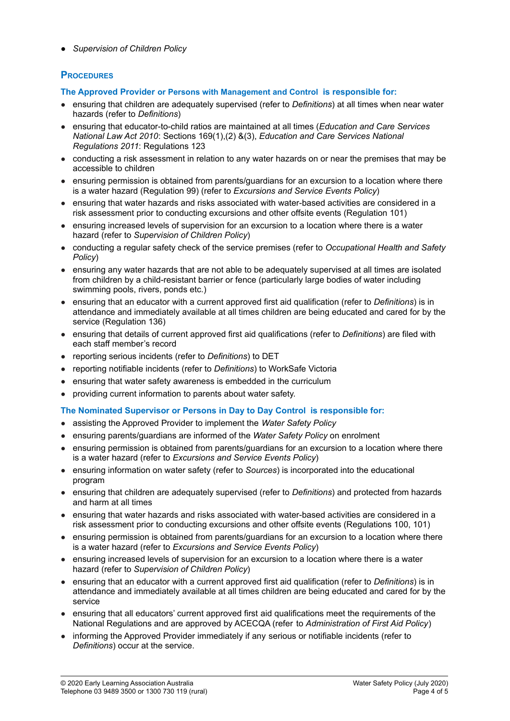*● Supervision of Children Policy*

# **PROCEDURES**

**The Approved Provider or Persons with Management and Control is responsible for:**

- ensuring that children are adequately supervised (refer to *Definitions*) at all times when near water hazards (refer to *Definitions*)
- ensuring that educator-to-child ratios are maintained at all times (*Education and Care Services National Law Act 2010*: Sections 169(1),(2) &(3), *Education and Care Services National Regulations 2011*: Regulations 123
- conducting a risk assessment in relation to any water hazards on or near the premises that may be accessible to children
- ensuring permission is obtained from parents/guardians for an excursion to a location where there is a water hazard (Regulation 99) (refer to *Excursions and Service Events Policy*)
- ensuring that water hazards and risks associated with water-based activities are considered in a risk assessment prior to conducting excursions and other offsite events (Regulation 101)
- ensuring increased levels of supervision for an excursion to a location where there is a water hazard (refer to *Supervision of Children Policy*)
- conducting a regular safety check of the service premises (refer to *Occupational Health and Safety Policy*)
- ensuring any water hazards that are not able to be adequately supervised at all times are isolated from children by a child-resistant barrier or fence (particularly large bodies of water including swimming pools, rivers, ponds etc.)
- ensuring that an educator with a current approved first aid qualification (refer to *Definitions*) is in attendance and immediately available at all times children are being educated and cared for by the service (Regulation 136)
- ensuring that details of current approved first aid qualifications (refer to *Definitions*) are filed with each staff member's record
- reporting serious incidents (refer to *Definitions*) to DET
- reporting notifiable incidents (refer to *Definitions*) to WorkSafe Victoria
- ensuring that water safety awareness is embedded in the curriculum
- providing current information to parents about water safety.

# **The Nominated Supervisor or Persons in Day to Day Control is responsible for:**

- assisting the Approved Provider to implement the *Water Safety Policy*
- ensuring parents/guardians are informed of the *Water Safety Policy* on enrolment
- ensuring permission is obtained from parents/guardians for an excursion to a location where there is a water hazard (refer to *Excursions and Service Events Policy*)
- ensuring information on water safety (refer to *Sources*) is incorporated into the educational program
- ensuring that children are adequately supervised (refer to *Definitions*) and protected from hazards and harm at all times
- ensuring that water hazards and risks associated with water-based activities are considered in a risk assessment prior to conducting excursions and other offsite events (Regulations 100, 101)
- ensuring permission is obtained from parents/guardians for an excursion to a location where there is a water hazard (refer to *Excursions and Service Events Policy*)
- ensuring increased levels of supervision for an excursion to a location where there is a water hazard (refer to *Supervision of Children Policy*)
- ensuring that an educator with a current approved first aid qualification (refer to *Definitions*) is in attendance and immediately available at all times children are being educated and cared for by the service
- ensuring that all educators' current approved first aid qualifications meet the requirements of the National Regulations and are approved by ACECQA (refer to *Administration of First Aid Policy*)
- informing the Approved Provider immediately if any serious or notifiable incidents (refer to *Definitions*) occur at the service.